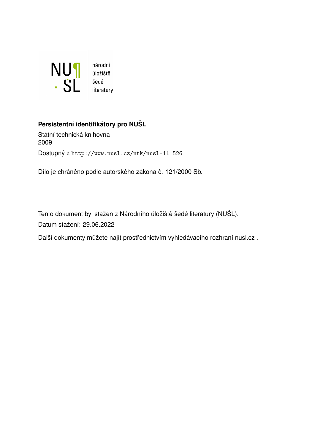

## **Persistentní identifikátory pro NUŠL**

Státní technická knihovna 2009 Dostupný z <http://www.nusl.cz/ntk/nusl-111526>

Dílo je chráněno podle autorského zákona č. 121/2000 Sb.

Tento dokument byl stažen z Národního úložiště šedé literatury (NUŠL). Datum stažení: 29.06.2022

Další dokumenty můžete najít prostřednictvím vyhledávacího rozhraní [nusl.cz](http://www.nusl.cz) .